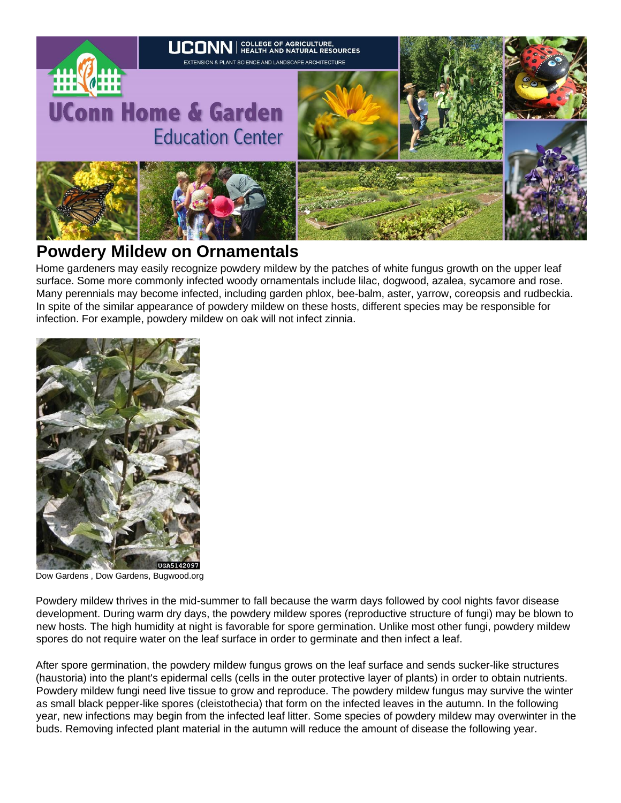

# **Powdery Mildew on Ornamentals**

Home gardeners may easily recognize powdery mildew by the patches of white fungus growth on the upper leaf surface. Some more commonly infected woody ornamentals include lilac, dogwood, azalea, sycamore and rose. Many perennials may become infected, including garden phlox, bee-balm, aster, yarrow, coreopsis and rudbeckia. In spite of the similar appearance of powdery mildew on these hosts, different species may be responsible for infection. For example, powdery mildew on oak will not infect zinnia.



Dow Gardens , Dow Gardens, Bugwood.org

Powdery mildew thrives in the mid-summer to fall because the warm days followed by cool nights favor disease development. During warm dry days, the powdery mildew spores (reproductive structure of fungi) may be blown to new hosts. The high humidity at night is favorable for spore germination. Unlike most other fungi, powdery mildew spores do not require water on the leaf surface in order to germinate and then infect a leaf.

After spore germination, the powdery mildew fungus grows on the leaf surface and sends sucker-like structures (haustoria) into the plant's epidermal cells (cells in the outer protective layer of plants) in order to obtain nutrients. Powdery mildew fungi need live tissue to grow and reproduce. The powdery mildew fungus may survive the winter as small black pepper-like spores (cleistothecia) that form on the infected leaves in the autumn. In the following year, new infections may begin from the infected leaf litter. Some species of powdery mildew may overwinter in the buds. Removing infected plant material in the autumn will reduce the amount of disease the following year.